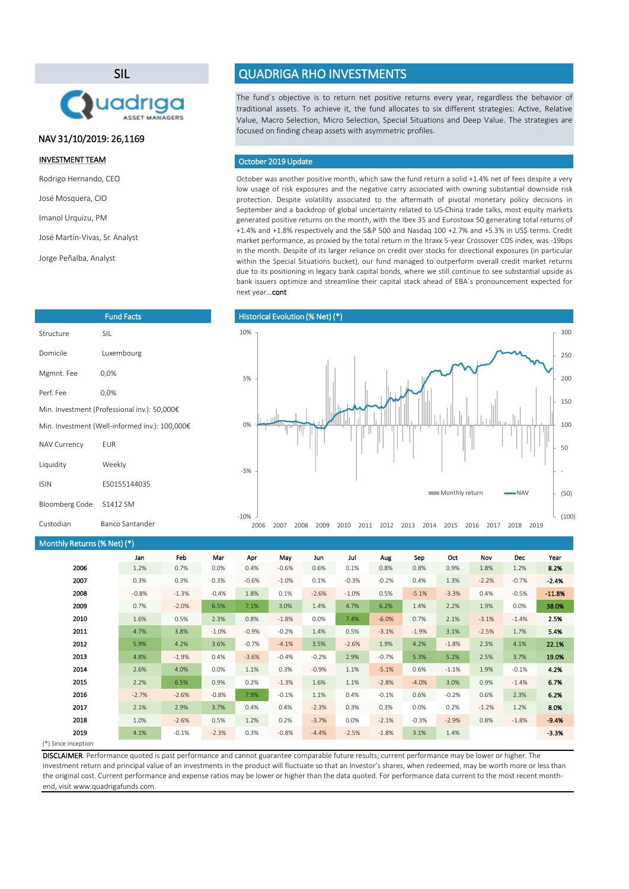(\*) Since inception

October was another positive month, which saw the fund return a solid +1.4% net of fees despite a very low usage of risk exposures and the negative carry associated with owning substantial downside risk protection. Despite volatility associated to the aftermath of pivotal monetary policy decisions in September and a backdrop of global uncertainty related to US-China trade talks, most equity markets generated positive returns on the month, with the Ibex 35 and Eurostoxx 50 generating total returns of +1.4% and +1.8% respectively and the S&P 500 and Nasdaq 100 +2.7% and +5.3% in US\$ terms. Credit market performance, as proxied by the total return in the Itraxx 5-year Crossover CDS index, was -19bps in the month. Despite of its larger reliance on credit over stocks for directional exposures (in particular within the Special Situations bucket), our fund managed to outperform overall credit market returns due to its positioning in legacy bank capital bonds, where we still continue to see substantial upside as bank issuers optimize and streamline their capital stack ahead of EBA´s pronouncement expected for next year...cont

| Monthly Returns (% Net) (*) |         |         |         |         |         |         |         |         |         |         |         |         |          |
|-----------------------------|---------|---------|---------|---------|---------|---------|---------|---------|---------|---------|---------|---------|----------|
|                             | Jan     | Feb     | Mar     | Apr     | May     | Jun     | Jul     | Aug     | Sep     | Oct     | Nov     | Dec     | Year     |
| 2006                        | 1.2%    | 0.7%    | 0.0%    | 0.4%    | $-0.6%$ | 0.6%    | 0.1%    | 0.8%    | 0.8%    | 0.9%    | 1.8%    | 1.2%    | 8.2%     |
| 2007                        | 0.3%    | 0.3%    | 0.3%    | $-0.6%$ | $-1.0%$ | 0.1%    | $-0.3%$ | $-0.2%$ | 0.4%    | 1.3%    | $-2.2%$ | $-0.7%$ | $-2.4%$  |
| 2008                        | $-0.8%$ | $-1.3%$ | $-0.4%$ | 1.8%    | 0.1%    | $-2.6%$ | $-1.0%$ | 0.5%    | $-5.1%$ | $-3.3%$ | 0.4%    | $-0.5%$ | $-11.8%$ |
| 2009                        | 0.7%    | $-2.0%$ | 6.5%    | 7.1%    | 3.0%    | 1.4%    | 4.7%    | 6.2%    | 1.4%    | 2.2%    | 1.9%    | 0.0%    | 38.0%    |
| 2010                        | 1.6%    | 0.5%    | 2.3%    | 0.8%    | $-1.8%$ | 0.0%    | 7.4%    | $-6.0%$ | 0.7%    | 2.1%    | $-3.1%$ | $-1.4%$ | 2.5%     |
| 2011                        | 4.7%    | 3.8%    | $-1.0%$ | $-0.9%$ | $-0.2%$ | 1.4%    | 0.5%    | $-3.1%$ | $-1.9%$ | 3.1%    | $-2.5%$ | 1.7%    | 5.4%     |
| 2012                        | 5.9%    | 4.2%    | 3.6%    | $-0.7%$ | $-4.1%$ | 3.5%    | $-2.6%$ | 1.9%    | 4.2%    | $-1.8%$ | 2.3%    | 4.1%    | 22.1%    |
| 2013                        | 4.8%    | $-1.9%$ | 0.4%    | $-3.6%$ | $-0.4%$ | $-0.2%$ | 2.9%    | $-0.7%$ | 5.3%    | 5.2%    | 2.5%    | 3.7%    | 19.0%    |
| 2014                        | 2.6%    | 4.0%    | 0.0%    | 1.1%    | 0.3%    | $-0.9%$ | 1.1%    | $-5.1%$ | 0.6%    | $-1.1%$ | 1.9%    | $-0.1%$ | 4.2%     |
| 2015                        | 2.2%    | 6.5%    | 0.9%    | 0.2%    | $-1.3%$ | 1.6%    | 1.1%    | $-2.8%$ | $-4.0%$ | 3.0%    | 0.9%    | $-1.4%$ | 6.7%     |
| 2016                        | $-2.7%$ | $-2.6%$ | $-0.8%$ | 7.9%    | $-0.1%$ | 1.1%    | 0.4%    | $-0.1%$ | 0.6%    | $-0.2%$ | 0.6%    | 2.3%    | 6.2%     |
| 2017                        | 2.1%    | 2.9%    | 3.7%    | 0.4%    | 0.4%    | $-2.3%$ | 0.3%    | 0.3%    | 0.0%    | 0.2%    | $-1.2%$ | 1.2%    | 8.0%     |
| 2018                        | 1.0%    | $-2.6%$ | 0.5%    | 1.2%    | 0.2%    | $-3.7%$ | 0.0%    | $-2.1%$ | $-0.3%$ | $-2.9%$ | 0.8%    | $-1.8%$ | $-9.4%$  |
| 2019                        | 4.1%    | $-0.1%$ | $-2.3%$ | 0.3%    | $-0.8%$ | $-4.4%$ | $-2.5%$ | $-1.8%$ | 3.1%    | 1.4%    |         |         | $-3.3%$  |
| $(*)$ Cinco incontion       |         |         |         |         |         |         |         |         |         |         |         |         |          |

The fund´s objective is to return net positive returns every year, regardless the behavior of traditional assets. To achieve it, the fund allocates to six different strategies: Active, Relative Value, Macro Selection, Micro Selection, Special Situations and Deep Value. The strategies are focused on finding cheap assets with asymmetric profiles.

## October 2019 Update

DISCLAIMER. Performance quoted is past performance and cannot guarantee comparable future results; current performance may be lower or higher. The investment return and principal value of an investments in the product will fluctuate so that an Investor's shares, when redeemed, may be worth more or less than the original cost. Current performance and expense ratios may be lower or higher than the data quoted. For performance data current to the most recent monthend, visit www.quadrigafunds.com.

### INVESTMENT TEAM

Rodrigo Hernando, CEO

José Mosquera, CIO

Imanol Urquizu, PM

José Martín-Vivas, Sr. Analyst

Jorge Peñalba, Analyst

# SIL



# QUADRIGA RHO INVESTMENTS

| <b>Fund Facts</b>                              |              |  |  |  |  |
|------------------------------------------------|--------------|--|--|--|--|
| Structure                                      | SIL          |  |  |  |  |
| Domicile                                       | Luxembourg   |  |  |  |  |
| Mgmnt. Fee                                     | $0,0\%$      |  |  |  |  |
| Perf. Fee                                      | $0,0\%$      |  |  |  |  |
| Min. Investment (Professional inv.): 50,000€   |              |  |  |  |  |
| Min. Investment (Well-informed inv.): 100,000€ |              |  |  |  |  |
| <b>NAV Currency</b>                            | <b>EUR</b>   |  |  |  |  |
| Liquidity                                      | Weekly       |  |  |  |  |
| <b>ISIN</b>                                    | ES0155144035 |  |  |  |  |
| Bloomberg Code                                 | S1412 SM     |  |  |  |  |

# NAV 31/10/2019: 26,1169



| Custodian | Banco Sant |
|-----------|------------|
|           |            |

tander

-10%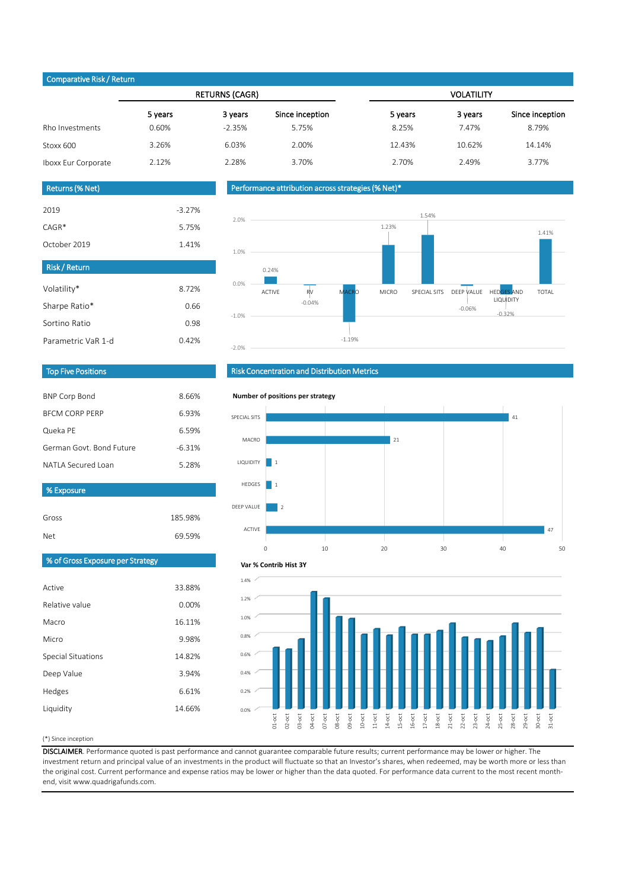### (\*) Since inception

| Active                    | 33.88% |
|---------------------------|--------|
| Relative value            | 0.00%  |
| Macro                     | 16.11% |
| Micro                     | 9.98%  |
| <b>Special Situations</b> | 14.82% |
| Deep Value                | 3.94%  |
| Hedges                    | 6.61%  |
| Liquidity                 | 14.66% |
|                           |        |

DISCLAIMER. Performance quoted is past performance and cannot guarantee comparable future results; current performance may be lower or higher. The investment return and principal value of an investments in the product will fluctuate so that an Investor's shares, when redeemed, may be worth more or less than the original cost. Current performance and expense ratios may be lower or higher than the data quoted. For performance data current to the most recent monthend, visit www.quadrigafunds.com.

| Gross | 185.98% |
|-------|---------|
| Net   | 69.59%  |

|                     |         | <b>RETURNS (CAGR)</b> |                 | <b>VOLATILITY</b> |         |                 |  |
|---------------------|---------|-----------------------|-----------------|-------------------|---------|-----------------|--|
|                     | 5 years | 3 years               | Since inception | 5 years           | 3 years | Since inception |  |
| Rho Investments     | 0.60%   | $-2.35%$              | 5.75%           | 8.25%             | 7.47%   | 8.79%           |  |
| Stoxx 600           | 3.26%   | 6.03%                 | 2.00%           | 12.43%            | 10.62%  | 14.14%          |  |
| Iboxx Eur Corporate | 2.12%   | 2.28%                 | 3.70%           | 2.70%             | 2.49%   | 3.77%           |  |

| <b>BNP Corp Bond</b>     | 8.66%    |
|--------------------------|----------|
| <b>BECM CORP PERP</b>    | 6.93%    |
| Queka PE                 | 6.59%    |
| German Govt, Bond Future | $-6.31%$ |
| NATI A Secured Loan      | 5.28%    |

| <b>Risk/Return</b> |       |
|--------------------|-------|
| Volatility*        | 8.72% |
| Sharpe Ratio*      | 0.66  |
| Sortino Ratio      | 0.98  |
| Parametric VaR 1-d | 0.42% |

| 2019         | $-3.27%$ |
|--------------|----------|
| $CAGR*$      | 5.75%    |
| October 2019 | 1.41%    |

## Returns (% Net)

## Top Five Positions

# % of Gross Exposure per Strategy

# Risk Concentration and Distribution Metrics

## Performance attribution across strategies (% Net)\*

## Comparative Risk / Return

% Exposure





### **Number of positions per strategy**



31-oct

### **Var % Contrib Hist 3Y**